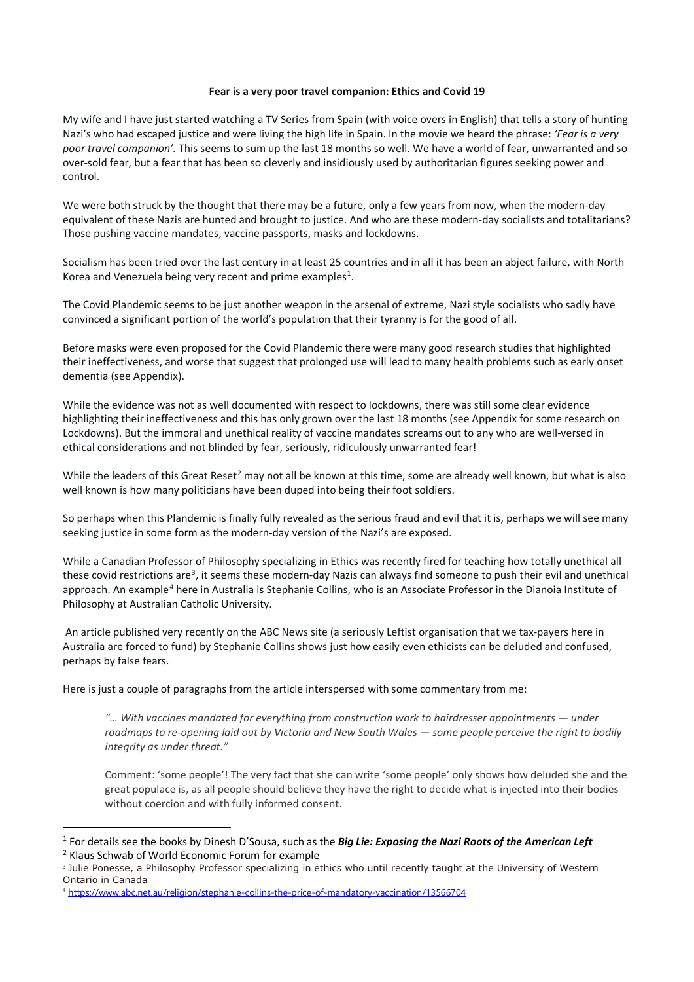### **Fear is a very poor travel companion: Ethics and Covid 19**

My wife and I have just started watching a TV Series from Spain (with voice overs in English) that tells a story of hunting Nazi's who had escaped justice and were living the high life in Spain. In the movie we heard the phrase: *'Fear is a very poor travel companion'.* This seems to sum up the last 18 months so well. We have a world of fear, unwarranted and so over-sold fear, but a fear that has been so cleverly and insidiously used by authoritarian figures seeking power and control.

We were both struck by the thought that there may be a future, only a few years from now, when the modern-day equivalent of these Nazis are hunted and brought to justice. And who are these modern-day socialists and totalitarians? Those pushing vaccine mandates, vaccine passports, masks and lockdowns.

Socialism has been tried over the last century in at least 25 countries and in all it has been an abject failure, with North Korea and Venezuela being very recent and prime examples<sup>[1](#page-0-0)</sup>.

The Covid Plandemic seems to be just another weapon in the arsenal of extreme, Nazi style socialists who sadly have convinced a significant portion of the world's population that their tyranny is for the good of all.

Before masks were even proposed for the Covid Plandemic there were many good research studies that highlighted their ineffectiveness, and worse that suggest that prolonged use will lead to many health problems such as early onset dementia (see Appendix).

While the evidence was not as well documented with respect to lockdowns, there was still some clear evidence highlighting their ineffectiveness and this has only grown over the last 18 months (see Appendix for some research on Lockdowns). But the immoral and unethical reality of vaccine mandates screams out to any who are well-versed in ethical considerations and not blinded by fear, seriously, ridiculously unwarranted fear!

While the leaders of this Great Reset<sup>[2](#page-0-1)</sup> may not all be known at this time, some are already well known, but what is also well known is how many politicians have been duped into being their foot soldiers.

So perhaps when this Plandemic is finally fully revealed as the serious fraud and evil that it is, perhaps we will see many seeking justice in some form as the modern-day version of the Nazi's are exposed.

While a Canadian Professor of Philosophy specializing in Ethics was recently fired for teaching how totally unethical all these covid restrictions are<sup>[3](#page-0-2)</sup>, it seems these modern-day Nazis can always find someone to push their evil and unethical approach. An example<sup>[4](#page-0-3)</sup> here in Australia i[s Stephanie Collins,](https://www.acu.edu.au/research/our-research-institutes/dianoia-institute-of-philosophy/our-people/stephanie-collins) who is an Associate Professor in the Dianoia Institute of Philosophy at Australian Catholic University.

An article published very recently on the ABC News site (a seriously Leftist organisation that we tax-payers here in Australia are forced to fund) by Stephanie Collins shows just how easily even ethicists can be deluded and confused, perhaps by false fears.

Here is just a couple of paragraphs from the article interspersed with some commentary from me:

*"… With vaccines mandated for everything from construction work to hairdresser appointments — under roadmaps to re-opening laid out by Victoria and New South Wales — some people perceive the right to bodily integrity as under threat."*

Comment: 'some people'! The very fact that she can write 'some people' only shows how deluded she and the great populace is, as all people should believe they have the right to decide what is injected into their bodies without coercion and with fully informed consent.

<span id="page-0-0"></span><sup>1</sup> For details see the books by Dinesh D'Sousa, such as the *Big Lie: Exposing the Nazi Roots of the American Left* <sup>2</sup> Klaus Schwab of World Economic Forum for example

<span id="page-0-2"></span><span id="page-0-1"></span><sup>&</sup>lt;sup>3</sup> Julie Ponesse, a Philosophy Professor specializing in ethics who until recently taught at the University of Western Ontario in Canada

<span id="page-0-3"></span><sup>4</sup> <https://www.abc.net.au/religion/stephanie-collins-the-price-of-mandatory-vaccination/13566704>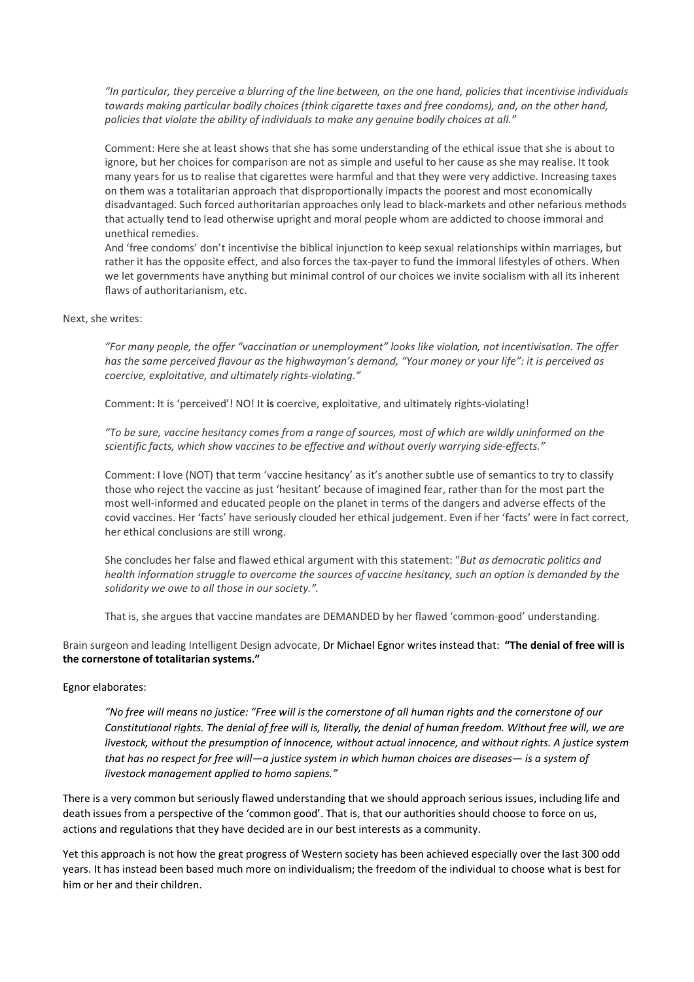*"In particular, they perceive a blurring of the line between, on the one hand, policies that incentivise individuals towards making particular bodily choices (think cigarette taxes and free condoms), and, on the other hand, policies that violate the ability of individuals to make any genuine bodily choices at all."*

Comment: Here she at least shows that she has some understanding of the ethical issue that she is about to ignore, but her choices for comparison are not as simple and useful to her cause as she may realise. It took many years for us to realise that cigarettes were harmful and that they were very addictive. Increasing taxes on them was a totalitarian approach that disproportionally impacts the poorest and most economically disadvantaged. Such forced authoritarian approaches only lead to black-markets and other nefarious methods that actually tend to lead otherwise upright and moral people whom are addicted to choose immoral and unethical remedies.

And 'free condoms' don't incentivise the biblical injunction to keep sexual relationships within marriages, but rather it has the opposite effect, and also forces the tax-payer to fund the immoral lifestyles of others. When we let governments have anything but minimal control of our choices we invite socialism with all its inherent flaws of authoritarianism, etc.

#### Next, she writes:

*"For many people, the offer "vaccination or unemployment" looks like violation, not incentivisation. The offer has the same perceived flavour as the highwayman's demand, "Your money or your life": it is perceived as coercive, exploitative, and ultimately rights-violating."*

Comment: It is 'perceived'! NO! It **is** coercive, exploitative, and ultimately rights-violating!

*"To be sure, vaccine hesitancy comes from a range of sources, most of which are wildly uninformed on the scientific facts, which show vaccines to be effective and without overly worrying side-effects."*

Comment: I love (NOT) that term 'vaccine hesitancy' as it's another subtle use of semantics to try to classify those who reject the vaccine as just 'hesitant' because of imagined fear, rather than for the most part the most well-informed and educated people on the planet in terms of the dangers and adverse effects of the covid vaccines. Her 'facts' have seriously clouded her ethical judgement. Even if her 'facts' were in fact correct, her ethical conclusions are still wrong.

She concludes her false and flawed ethical argument with this statement: "*But as democratic politics and health information struggle to overcome the sources of vaccine hesitancy, such an option is demanded by the solidarity we owe to all those in our society.".*

That is, she argues that vaccine mandates are DEMANDED by her flawed 'common-good' understanding.

Brain surgeon and leading Intelligent Design advocate, Dr Michael Egnor writes instead that: **"The denial of free will is the cornerstone of totalitarian systems."** 

## Egnor elaborates:

*"No free will means [no justice:](https://mindmatters.ai/2020/05/no-free-will-means-no-justice/) "Free will is the cornerstone of all human rights and the cornerstone of our Constitutional rights. The denial of free will is, literally, the denial of human freedom. Without free will, we are livestock, without the presumption of innocence, without actual innocence, and without rights. A justice system that has no respect for free will—a justice system in which human choices are diseases— is a system of livestock management applied to homo sapiens."* 

There is a very common but seriously flawed understanding that we should approach serious issues, including life and death issues from a perspective of the 'common good'. That is, that our authorities should choose to force on us, actions and regulations that they have decided are in our best interests as a community.

Yet this approach is not how the great progress of Western society has been achieved especially over the last 300 odd years. It has instead been based much more on individualism; the freedom of the individual to choose what is best for him or her and their children.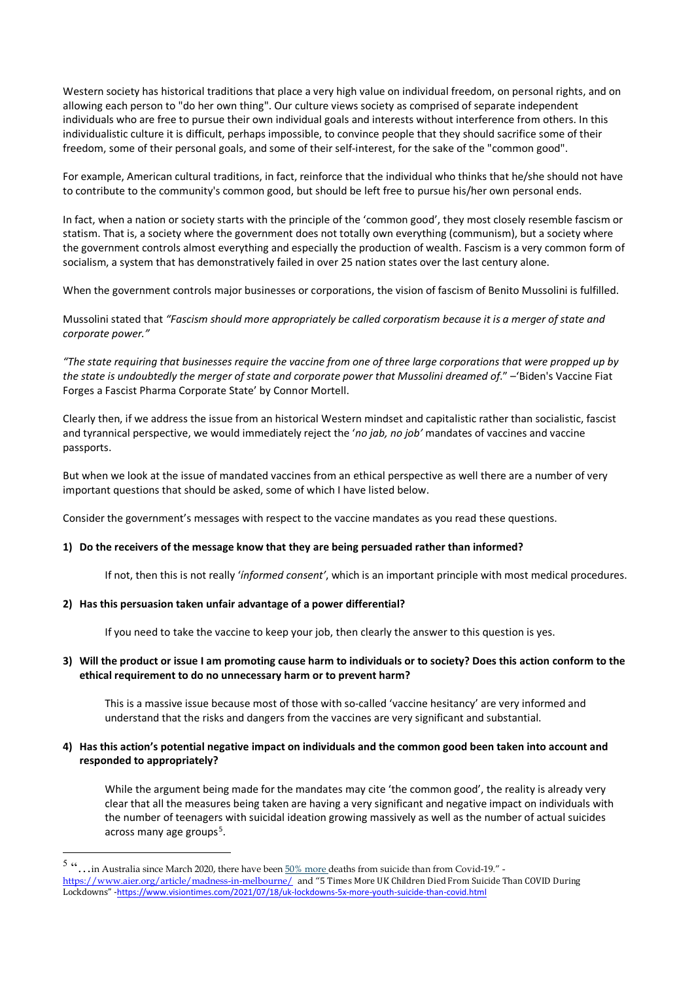Western society has historical traditions that place a very high value on individual freedom, on personal rights, and on allowing each person to "do her own thing". Our culture views society as comprised of separate independent individuals who are free to pursue their own individual goals and interests without interference from others. In this individualistic culture it is difficult, perhaps impossible, to convince people that they should sacrifice some of their freedom, some of their personal goals, and some of their self-interest, for the sake of the "common good".

For example, American cultural traditions, in fact, reinforce that the individual who thinks that he/she should not have to contribute to the community's common good, but should be left free to pursue his/her own personal ends.

In fact, when a nation or society starts with the principle of the 'common good', they most closely resemble fascism or statism. That is, a society where the government does not totally own everything (communism), but a society where the government controls almost everything and especially the production of wealth. Fascism is a very common form of socialism, a system that has demonstratively failed in over 25 nation states over the last century alone.

When the government controls major businesses or corporations, the vision of fascism of Benito Mussolini is fulfilled.

Mussolini stated that *"Fascism should more appropriately be called corporatism because it is a merger of state and corporate power."* 

*"The state requiring that businesses require the vaccine from one of three large corporations that were propped up by the state is undoubtedly the merger of state and corporate power that Mussolini dreamed of*." –['Biden's Vaccine Fiat](https://mises.org/power-market/bidens-vaccine-fiat-forges-fascist-pharma-corporate-state)  [Forges a Fascist Pharma Corporate State'](https://mises.org/power-market/bidens-vaccine-fiat-forges-fascist-pharma-corporate-state) b[y Connor Mortell.](https://mises.org/profile/connor-mortell)

Clearly then, if we address the issue from an historical Western mindset and capitalistic rather than socialistic, fascist and tyrannical perspective, we would immediately reject the '*no jab, no job'* mandates of vaccines and vaccine passports.

But when we look at the issue of mandated vaccines from an ethical perspective as well there are a number of very important questions that should be asked, some of which I have listed below.

Consider the government's messages with respect to the vaccine mandates as you read these questions.

## **1) Do the receivers of the message know that they are being persuaded rather than informed?**

If not, then this is not really '*ínformed consent'*, which is an important principle with most medical procedures.

#### **2) Has this persuasion taken unfair advantage of a power differential?**

If you need to take the vaccine to keep your job, then clearly the answer to this question is yes.

## **3) Will the product or issue I am promoting cause harm to individuals or to society? Does this action conform to the ethical requirement to do no unnecessary harm or to prevent harm?**

This is a massive issue because most of those with so-called 'vaccine hesitancy' are very informed and understand that the risks and dangers from the vaccines are very significant and substantial.

## **4) Has this action's potential negative impact on individuals and the common good been taken into account and responded to appropriately?**

While the argument being made for the mandates may cite 'the common good', the reality is already very clear that all the measures being taken are having a very significant and negative impact on individuals with the number of teenagers with suicidal ideation growing massively as well as the number of actual suicides across many age groups<sup>[5](#page-2-0)</sup>.

<span id="page-2-0"></span><sup>5 &</sup>quot;... in Australia since March 2020, there have been  $50\%$  more deaths from suicide than from Covid-19." <https://www.aier.org/article/madness-in-melbourne/> and "5 Times More UK Children Died From Suicide Than COVID During Lockdowns" -<https://www.visiontimes.com/2021/07/18/uk-lockdowns-5x-more-youth-suicide-than-covid.html>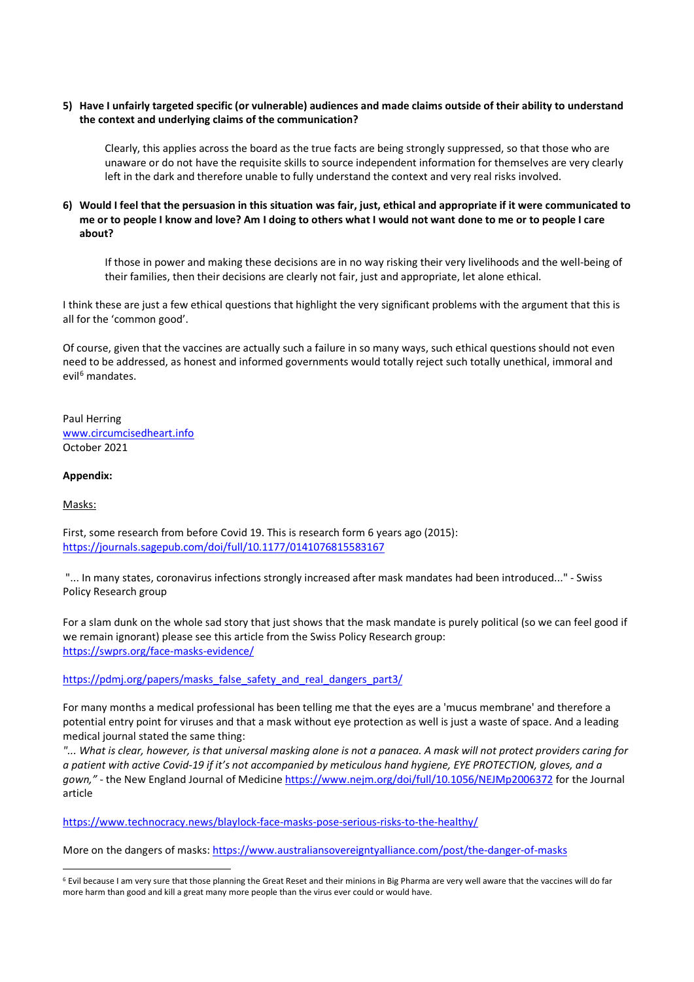## **5) Have I unfairly targeted specific (or vulnerable) audiences and made claims outside of their ability to understand the context and underlying claims of the communication?**

Clearly, this applies across the board as the true facts are being strongly suppressed, so that those who are unaware or do not have the requisite skills to source independent information for themselves are very clearly left in the dark and therefore unable to fully understand the context and very real risks involved.

## **6) Would I feel that the persuasion in this situation was fair, just, ethical and appropriate if it were communicated to me or to people I know and love? Am I doing to others what I would not want done to me or to people I care about?**

If those in power and making these decisions are in no way risking their very livelihoods and the well-being of their families, then their decisions are clearly not fair, just and appropriate, let alone ethical.

I think these are just a few ethical questions that highlight the very significant problems with the argument that this is all for the 'common good'.

Of course, given that the vaccines are actually such a failure in so many ways, such ethical questions should not even need to be addressed, as honest and informed governments would totally reject such totally unethical, immoral and evil<sup>[6](#page-3-0)</sup> mandates.

Paul Herring [www.circumcisedheart.info](http://www.circumcisedheart.info/) October 2021

## **Appendix:**

Masks:

First, some research from before Covid 19. This is research form 6 years ago (2015): <https://journals.sagepub.com/doi/full/10.1177/0141076815583167>

"... In many states, coronavirus infections strongly increased after mask mandates had been introduced..." - Swiss Policy Research group

For a slam dunk on the whole sad story that just shows that the mask mandate is purely political (so we can feel good if we remain ignorant) please see this article from the Swiss Policy Research group: <https://swprs.org/face-masks-evidence/>

[https://pdmj.org/papers/masks\\_false\\_safety\\_and\\_real\\_dangers\\_part3/](https://pdmj.org/papers/masks_false_safety_and_real_dangers_part3/)

For many months a medical professional has been telling me that the eyes are a 'mucus membrane' and therefore a potential entry point for viruses and that a mask without eye protection as well is just a waste of space. And a leading medical journal stated the same thing:

*"... What is clear, however, is that universal masking alone is not a panacea. A mask will not protect providers caring for a patient with active Covid-19 if it's not accompanied by meticulous hand hygiene, EYE PROTECTION, gloves, and a gown,"* - the New England Journal of Medicine <https://www.nejm.org/doi/full/10.1056/NEJMp2006372> for the Journal article

<https://www.technocracy.news/blaylock-face-masks-pose-serious-risks-to-the-healthy/>

More on the dangers of masks[: https://www.australiansovereigntyalliance.com/post/the-danger-of-masks](https://www.australiansovereigntyalliance.com/post/the-danger-of-masks)

<span id="page-3-0"></span><sup>6</sup> Evil because I am very sure that those planning the Great Reset and their minions in Big Pharma are very well aware that the vaccines will do far more harm than good and kill a great many more people than the virus ever could or would have.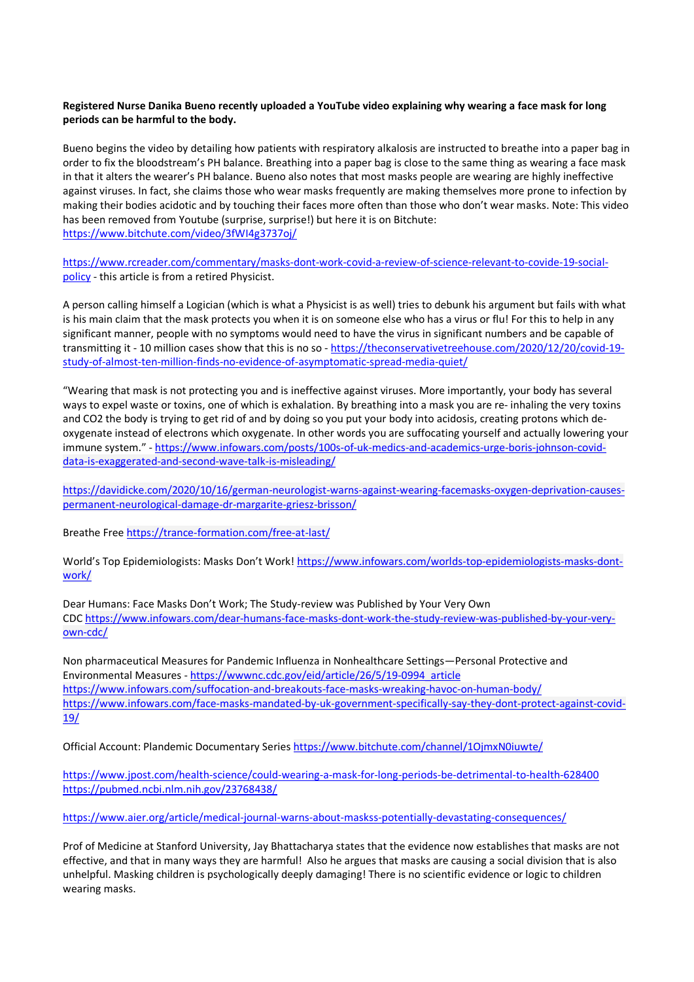## **Registered Nurse Danika Bueno recently uploaded a YouTube video explaining why wearing a face mask for long periods can be harmful to the body.**

Bueno begins the video by detailing how patients with respiratory alkalosis are instructed to breathe into a paper bag in order to fix the bloodstream's PH balance. Breathing into a paper bag is close to the same thing as wearing a face mask in that it alters the wearer's PH balance. Bueno also notes that most masks people are wearing are highly ineffective against viruses. In fact, she claims those who wear masks frequently are making themselves more prone to infection by making their bodies acidotic and by touching their faces more often than those who don't wear masks. Note: This video has been removed from Youtube (surprise, surprise!) but here it is on Bitchute: <https://www.bitchute.com/video/3fWI4g3737oj/>

[https://www.rcreader.com/commentary/masks-dont-work-covid-a-review-of-science-relevant-to-covide-19-social](https://www.rcreader.com/commentary/masks-dont-work-covid-a-review-of-science-relevant-to-covide-19-social-policy)[policy](https://www.rcreader.com/commentary/masks-dont-work-covid-a-review-of-science-relevant-to-covide-19-social-policy) - this article is from a retired Physicist.

A person calling himself a Logician (which is what a Physicist is as well) tries to debunk his argument but fails with what is his main claim that the mask protects you when it is on someone else who has a virus or flu! For this to help in any significant manner, people with no symptoms would need to have the virus in significant numbers and be capable of transmitting it - 10 million cases show that this is no so - [https://theconservativetreehouse.com/2020/12/20/covid-19](https://theconservativetreehouse.com/2020/12/20/covid-19-study-of-almost-ten-million-finds-no-evidence-of-asymptomatic-spread-media-quiet/) [study-of-almost-ten-million-finds-no-evidence-of-asymptomatic-spread-media-quiet/](https://theconservativetreehouse.com/2020/12/20/covid-19-study-of-almost-ten-million-finds-no-evidence-of-asymptomatic-spread-media-quiet/)

"Wearing that mask is not protecting you and is ineffective against viruses. More importantly, your body has several ways to expel waste or toxins, one of which is exhalation. By breathing into a mask you are re- inhaling the very toxins and CO2 the body is trying to get rid of and by doing so you put your body into acidosis, creating protons which deoxygenate instead of electrons which oxygenate. In other words you are suffocating yourself and actually lowering your immune system." - [https://www.infowars.com/posts/100s-of-uk-medics-and-academics-urge-boris-johnson-covid](https://www.infowars.com/posts/100s-of-uk-medics-and-academics-urge-boris-johnson-covid-data-is-exaggerated-and-second-wave-talk-is-misleading/)[data-is-exaggerated-and-second-wave-talk-is-misleading/](https://www.infowars.com/posts/100s-of-uk-medics-and-academics-urge-boris-johnson-covid-data-is-exaggerated-and-second-wave-talk-is-misleading/)

[https://davidicke.com/2020/10/16/german-neurologist-warns-against-wearing-facemasks-oxygen-deprivation-causes](https://davidicke.com/2020/10/16/german-neurologist-warns-against-wearing-facemasks-oxygen-deprivation-causes-permanent-neurological-damage-dr-margarite-griesz-brisson/)[permanent-neurological-damage-dr-margarite-griesz-brisson/](https://davidicke.com/2020/10/16/german-neurologist-warns-against-wearing-facemasks-oxygen-deprivation-causes-permanent-neurological-damage-dr-margarite-griesz-brisson/)

Breathe Free <https://trance-formation.com/free-at-last/>

World's Top Epidemiologists: Masks Don't Work! [https://www.infowars.com/worlds-top-epidemiologists-masks-dont](https://www.infowars.com/worlds-top-epidemiologists-masks-dont-work/)[work/](https://www.infowars.com/worlds-top-epidemiologists-masks-dont-work/)

Dear Humans: Face Masks Don't Work; The Study-review was Published by Your Very Own CDC [https://www.infowars.com/dear-humans-face-masks-dont-work-the-study-review-was-published-by-your-very](https://www.infowars.com/dear-humans-face-masks-dont-work-the-study-review-was-published-by-your-very-own-cdc/)[own-cdc/](https://www.infowars.com/dear-humans-face-masks-dont-work-the-study-review-was-published-by-your-very-own-cdc/)

Non pharmaceutical Measures for Pandemic Influenza in Nonhealthcare Settings—Personal Protective and Environmental Measures - [https://wwwnc.cdc.gov/eid/article/26/5/19-0994\\_article](https://wwwnc.cdc.gov/eid/article/26/5/19-0994_article) <https://www.infowars.com/suffocation-and-breakouts-face-masks-wreaking-havoc-on-human-body/> [https://www.infowars.com/face-masks-mandated-by-uk-government-specifically-say-they-dont-protect-against-covid-](https://www.infowars.com/face-masks-mandated-by-uk-government-specifically-say-they-dont-protect-against-covid-19/)[19/](https://www.infowars.com/face-masks-mandated-by-uk-government-specifically-say-they-dont-protect-against-covid-19/)

Official Account: Plandemic Documentary Series <https://www.bitchute.com/channel/1OjmxN0iuwte/>

<https://www.jpost.com/health-science/could-wearing-a-mask-for-long-periods-be-detrimental-to-health-628400> <https://pubmed.ncbi.nlm.nih.gov/23768438/>

<https://www.aier.org/article/medical-journal-warns-about-maskss-potentially-devastating-consequences/>

Prof of Medicine at Stanford University, Jay Bhattacharya states that the evidence now establishes that masks are not effective, and that in many ways they are harmful! Also he argues that masks are causing a social division that is also unhelpful. Masking children is psychologically deeply damaging! There is no scientific evidence or logic to children wearing masks.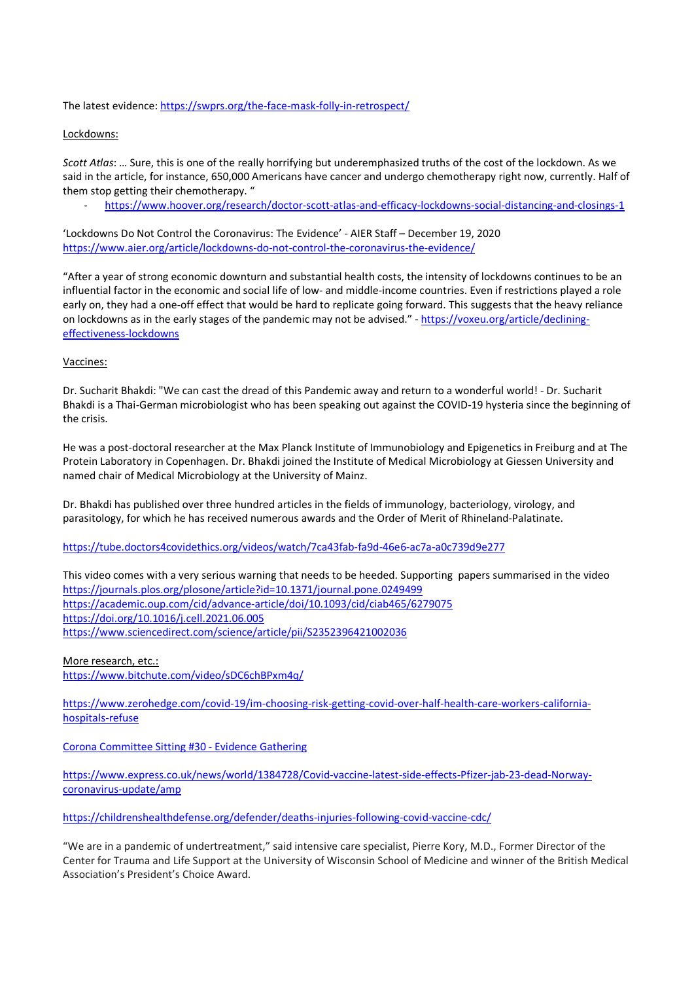The latest evidence: <https://swprs.org/the-face-mask-folly-in-retrospect/>

## Lockdowns:

*Scott Atlas*: … Sure, this is one of the really horrifying but underemphasized truths of the cost of the lockdown. As we said in the article, for instance, 650,000 Americans have cancer and undergo chemotherapy right now, currently. Half of them stop getting their chemotherapy. "

- <https://www.hoover.org/research/doctor-scott-atlas-and-efficacy-lockdowns-social-distancing-and-closings-1>

'Lockdowns Do Not Control the Coronavirus: The Evidence' - [AIER Staff](https://www.aier.org/staffs/aier-staff/) – [December 19, 2020](https://www.aier.org/custom-search-results/?post_date=12192020) <https://www.aier.org/article/lockdowns-do-not-control-the-coronavirus-the-evidence/>

"After a year of strong economic downturn and substantial health costs, the intensity of lockdowns continues to be an influential factor in the economic and social life of low- and middle-income countries. Even if restrictions played a role early on, they had a one-off effect that would be hard to replicate going forward. This suggests that the heavy reliance on lockdowns as in the early stages of the pandemic may not be advised." - [https://voxeu.org/article/declining](https://voxeu.org/article/declining-effectiveness-lockdowns)[effectiveness-lockdowns](https://voxeu.org/article/declining-effectiveness-lockdowns)

## Vaccines:

Dr. Sucharit Bhakdi: "We can cast the dread of this Pandemic away and return to a wonderful world! - Dr. Sucharit Bhakdi is a Thai-German microbiologist who has been speaking out against the COVID-19 hysteria since the beginning of the crisis.

He was a post-doctoral researcher at the Max Planck Institute of Immunobiology and Epigenetics in Freiburg and at The Protein Laboratory in Copenhagen. Dr. Bhakdi joined the Institute of Medical Microbiology at Giessen University and named chair of Medical Microbiology at the University of Mainz.

Dr. Bhakdi has published over three hundred articles in the fields of immunology, bacteriology, virology, and parasitology, for which he has received numerous awards and the Order of Merit of Rhineland-Palatinate.

<https://tube.doctors4covidethics.org/videos/watch/7ca43fab-fa9d-46e6-ac7a-a0c739d9e277>

This video comes with a very serious warning that needs to be heeded. Supporting papers summarised in the video <https://journals.plos.org/plosone/article?id=10.1371/journal.pone.0249499> <https://academic.oup.com/cid/advance-article/doi/10.1093/cid/ciab465/6279075> <https://doi.org/10.1016/j.cell.2021.06.005> <https://www.sciencedirect.com/science/article/pii/S2352396421002036>

More research, etc.: <https://www.bitchute.com/video/sDC6chBPxm4q/>

[https://www.zerohedge.com/covid-19/im-choosing-risk-getting-covid-over-half-health-care-workers-california](https://www.zerohedge.com/covid-19/im-choosing-risk-getting-covid-over-half-health-care-workers-california-hospitals-refuse)[hospitals-refuse](https://www.zerohedge.com/covid-19/im-choosing-risk-getting-covid-over-half-health-care-workers-california-hospitals-refuse)

[Corona Committee Sitting #30 -](https://player.vimeo.com/video/487879592) Evidence Gathering

[https://www.express.co.uk/news/world/1384728/Covid-vaccine-latest-side-effects-Pfizer-jab-23-dead-Norway](https://www.express.co.uk/news/world/1384728/Covid-vaccine-latest-side-effects-Pfizer-jab-23-dead-Norway-coronavirus-update/amp)[coronavirus-update/amp](https://www.express.co.uk/news/world/1384728/Covid-vaccine-latest-side-effects-Pfizer-jab-23-dead-Norway-coronavirus-update/amp)

<https://childrenshealthdefense.org/defender/deaths-injuries-following-covid-vaccine-cdc/>

"We are in a pandemic of undertreatment," said intensive care specialist, Pierre Kory, M.D., Former Director of the Center for Trauma and Life Support at the University of Wisconsin School of Medicine and winner of the British Medical Association's President's Choice Award.